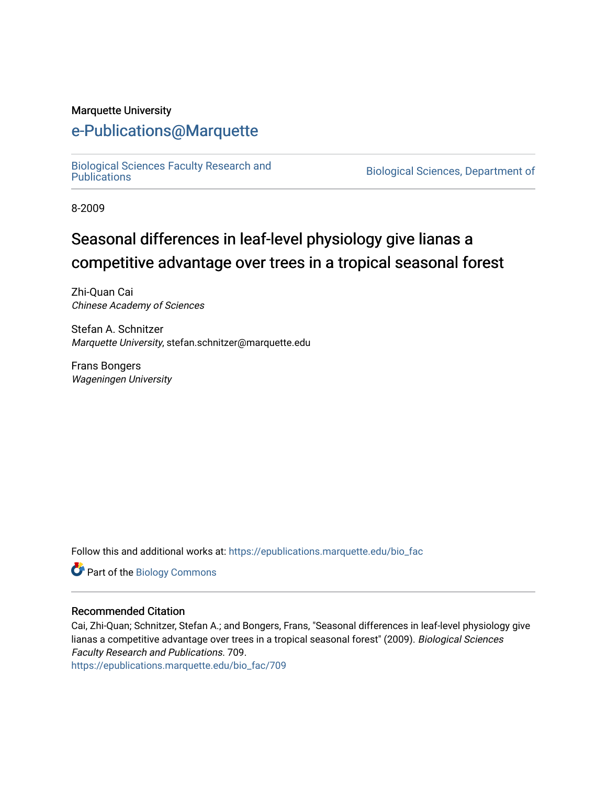#### Marquette University

# [e-Publications@Marquette](https://epublications.marquette.edu/)

[Biological Sciences Faculty Research and](https://epublications.marquette.edu/bio_fac) 

Biological Sciences, Department of

8-2009

# Seasonal differences in leaf-level physiology give lianas a competitive advantage over trees in a tropical seasonal forest

Zhi-Quan Cai Chinese Academy of Sciences

Stefan A. Schnitzer Marquette University, stefan.schnitzer@marquette.edu

Frans Bongers Wageningen University

Follow this and additional works at: [https://epublications.marquette.edu/bio\\_fac](https://epublications.marquette.edu/bio_fac?utm_source=epublications.marquette.edu%2Fbio_fac%2F709&utm_medium=PDF&utm_campaign=PDFCoverPages) 

Part of the [Biology Commons](http://network.bepress.com/hgg/discipline/41?utm_source=epublications.marquette.edu%2Fbio_fac%2F709&utm_medium=PDF&utm_campaign=PDFCoverPages) 

#### Recommended Citation

Cai, Zhi-Quan; Schnitzer, Stefan A.; and Bongers, Frans, "Seasonal differences in leaf-level physiology give lianas a competitive advantage over trees in a tropical seasonal forest" (2009). Biological Sciences Faculty Research and Publications. 709.

[https://epublications.marquette.edu/bio\\_fac/709](https://epublications.marquette.edu/bio_fac/709?utm_source=epublications.marquette.edu%2Fbio_fac%2F709&utm_medium=PDF&utm_campaign=PDFCoverPages)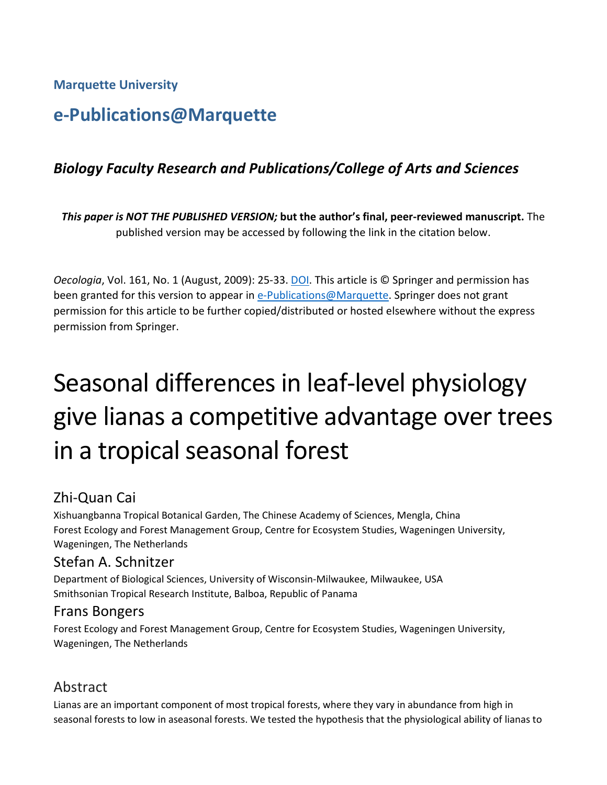**Marquette University**

# **e-Publications@Marquette**

# *Biology Faculty Research and Publications/College of Arts and Sciences*

*This paper is NOT THE PUBLISHED VERSION;* **but the author's final, peer-reviewed manuscript.** The published version may be accessed by following the link in the citation below.

*Oecologia*, Vol. 161, No. 1 (August, 2009): 25-33. DOI. This article is © Springer and permission has been granted for this version to appear in [e-Publications@Marquette.](http://epublications.marquette.edu/) Springer does not grant permission for this article to be further copied/distributed or hosted elsewhere without the express permission from Springer.

# Seasonal differences in leaf-level physiology give lianas a competitive advantage over trees in a tropical seasonal forest

# Zhi-Quan Cai

Xishuangbanna Tropical Botanical Garden, The Chinese Academy of Sciences, Mengla, China Forest Ecology and Forest Management Group, Centre for Ecosystem Studies, Wageningen University, Wageningen, The Netherlands

# Stefan A. Schnitzer

Department of Biological Sciences, University of Wisconsin-Milwaukee, Milwaukee, USA Smithsonian Tropical Research Institute, Balboa, Republic of Panama

# Frans Bongers

Forest Ecology and Forest Management Group, Centre for Ecosystem Studies, Wageningen University, Wageningen, The Netherlands

# Abstract

Lianas are an important component of most tropical forests, where they vary in abundance from high in seasonal forests to low in aseasonal forests. We tested the hypothesis that the physiological ability of lianas to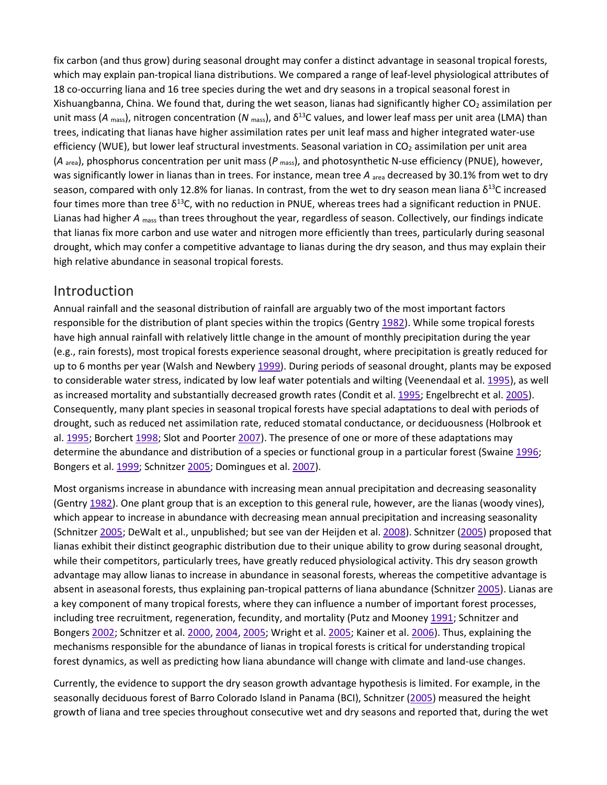fix carbon (and thus grow) during seasonal drought may confer a distinct advantage in seasonal tropical forests, which may explain pan-tropical liana distributions. We compared a range of leaf-level physiological attributes of 18 co-occurring liana and 16 tree species during the wet and dry seasons in a tropical seasonal forest in Xishuangbanna, China. We found that, during the wet season, lianas had significantly higher  $CO<sub>2</sub>$  assimilation per unit mass ( $A_{\text{mass}}$ ), nitrogen concentration ( $N_{\text{mass}}$ ), and  $\delta^{13}$ C values, and lower leaf mass per unit area (LMA) than trees, indicating that lianas have higher assimilation rates per unit leaf mass and higher integrated water-use efficiency (WUE), but lower leaf structural investments. Seasonal variation in CO<sub>2</sub> assimilation per unit area (*A* area), phosphorus concentration per unit mass (*P* mass), and photosynthetic N-use efficiency (PNUE), however, was significantly lower in lianas than in trees. For instance, mean tree A <sub>area</sub> decreased by 30.1% from wet to dry season, compared with only 12.8% for lianas. In contrast, from the wet to dry season mean liana  $\delta^{13}C$  increased four times more than tree δ<sup>13</sup>C, with no reduction in PNUE, whereas trees had a significant reduction in PNUE. Lianas had higher *A* mass than trees throughout the year, regardless of season. Collectively, our findings indicate that lianas fix more carbon and use water and nitrogen more efficiently than trees, particularly during seasonal drought, which may confer a competitive advantage to lianas during the dry season, and thus may explain their high relative abundance in seasonal tropical forests.

## Introduction

Annual rainfall and the seasonal distribution of rainfall are arguably two of the most important factors responsible for the distribution of plant species within the tropics (Gentry [1982\)](https://link.springer.com/article/10.1007%2Fs00442-009-1355-4#CR16). While some tropical forests have high annual rainfall with relatively little change in the amount of monthly precipitation during the year (e.g., rain forests), most tropical forests experience seasonal drought, where precipitation is greatly reduced for up to 6 months per year (Walsh and Newbery [1999\)](https://link.springer.com/article/10.1007%2Fs00442-009-1355-4#CR54). During periods of seasonal drought, plants may be exposed to considerable water stress, indicated by low leaf water potentials and wilting (Veenendaal et al. [1995\)](https://link.springer.com/article/10.1007%2Fs00442-009-1355-4#CR53), as well as increased mortality and substantially decreased growth rates (Condit et al. [1995;](https://link.springer.com/article/10.1007%2Fs00442-009-1355-4#CR8) Engelbrecht et al. [2005\)](https://link.springer.com/article/10.1007%2Fs00442-009-1355-4#CR12). Consequently, many plant species in seasonal tropical forests have special adaptations to deal with periods of drought, such as reduced net assimilation rate, reduced stomatal conductance, or deciduousness (Holbrook et al. [1995;](https://link.springer.com/article/10.1007%2Fs00442-009-1355-4#CR21) Borchert [1998;](https://link.springer.com/article/10.1007%2Fs00442-009-1355-4#CR4) Slot and Poorter [2007\)](https://link.springer.com/article/10.1007%2Fs00442-009-1355-4#CR48). The presence of one or more of these adaptations may determine the abundance and distribution of a species or functional group in a particular forest (Swaine [1996;](https://link.springer.com/article/10.1007%2Fs00442-009-1355-4#CR49) Bongers et al. [1999;](https://link.springer.com/article/10.1007%2Fs00442-009-1355-4#CR3) Schnitzer [2005;](https://link.springer.com/article/10.1007%2Fs00442-009-1355-4#CR43) Domingues et al. [2007\)](https://link.springer.com/article/10.1007%2Fs00442-009-1355-4#CR11).

Most organisms increase in abundance with increasing mean annual precipitation and decreasing seasonality (Gentry [1982\)](https://link.springer.com/article/10.1007%2Fs00442-009-1355-4#CR16). One plant group that is an exception to this general rule, however, are the lianas (woody vines), which appear to increase in abundance with decreasing mean annual precipitation and increasing seasonality (Schnitzer [2005;](https://link.springer.com/article/10.1007%2Fs00442-009-1355-4#CR43) DeWalt et al., unpublished; but see van der Heijden et al. [2008\)](https://link.springer.com/article/10.1007%2Fs00442-009-1355-4#CR52). Schnitzer [\(2005\)](https://link.springer.com/article/10.1007%2Fs00442-009-1355-4#CR43) proposed that lianas exhibit their distinct geographic distribution due to their unique ability to grow during seasonal drought, while their competitors, particularly trees, have greatly reduced physiological activity. This dry season growth advantage may allow lianas to increase in abundance in seasonal forests, whereas the competitive advantage is absent in aseasonal forests, thus explaining pan-tropical patterns of liana abundance (Schnitzer [2005\)](https://link.springer.com/article/10.1007%2Fs00442-009-1355-4#CR43). Lianas are a key component of many tropical forests, where they can influence a number of important forest processes, including tree recruitment, regeneration, fecundity, and mortality (Putz and Mooney [1991;](https://link.springer.com/article/10.1007%2Fs00442-009-1355-4#CR36) Schnitzer and Bongers [2002;](https://link.springer.com/article/10.1007%2Fs00442-009-1355-4#CR44) Schnitzer et al. [2000,](https://link.springer.com/article/10.1007%2Fs00442-009-1355-4#CR45) [2004,](https://link.springer.com/article/10.1007%2Fs00442-009-1355-4#CR46) [2005;](https://link.springer.com/article/10.1007%2Fs00442-009-1355-4#CR47) Wright et al. [2005;](https://link.springer.com/article/10.1007%2Fs00442-009-1355-4#CR57) Kainer et al. [2006\)](https://link.springer.com/article/10.1007%2Fs00442-009-1355-4#CR22). Thus, explaining the mechanisms responsible for the abundance of lianas in tropical forests is critical for understanding tropical forest dynamics, as well as predicting how liana abundance will change with climate and land-use changes.

Currently, the evidence to support the dry season growth advantage hypothesis is limited. For example, in the seasonally deciduous forest of Barro Colorado Island in Panama (BCI), Schnitzer [\(2005\)](https://link.springer.com/article/10.1007%2Fs00442-009-1355-4#CR43) measured the height growth of liana and tree species throughout consecutive wet and dry seasons and reported that, during the wet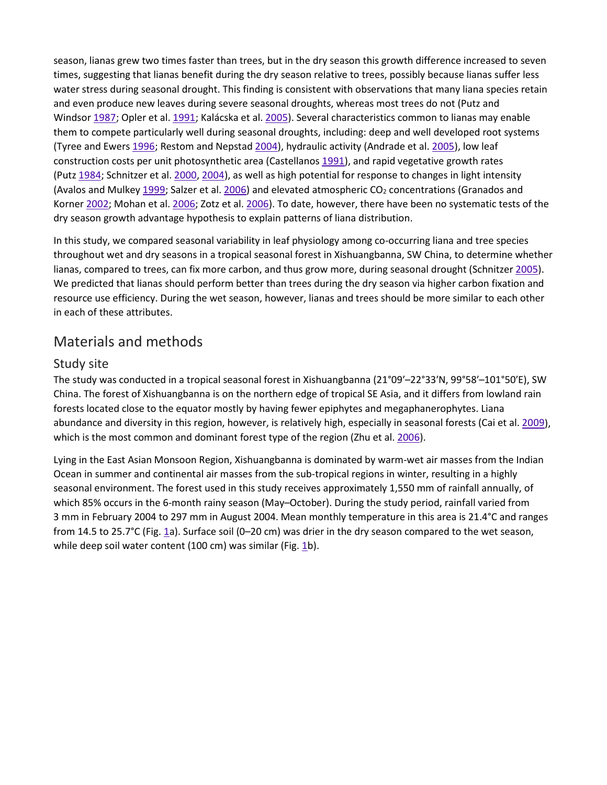season, lianas grew two times faster than trees, but in the dry season this growth difference increased to seven times, suggesting that lianas benefit during the dry season relative to trees, possibly because lianas suffer less water stress during seasonal drought. This finding is consistent with observations that many liana species retain and even produce new leaves during severe seasonal droughts, whereas most trees do not (Putz and Windsor [1987;](https://link.springer.com/article/10.1007%2Fs00442-009-1355-4#CR37) Opler et al. [1991;](https://link.springer.com/article/10.1007%2Fs00442-009-1355-4#CR30) Kalácska et al. [2005\)](https://link.springer.com/article/10.1007%2Fs00442-009-1355-4#CR23). Several characteristics common to lianas may enable them to compete particularly well during seasonal droughts, including: deep and well developed root systems (Tyree and Ewers [1996;](https://link.springer.com/article/10.1007%2Fs00442-009-1355-4#CR51) Restom and Nepstad [2004\)](https://link.springer.com/article/10.1007%2Fs00442-009-1355-4#CR40), hydraulic activity (Andrade et al. [2005\)](https://link.springer.com/article/10.1007%2Fs00442-009-1355-4#CR1), low leaf construction costs per unit photosynthetic area (Castellanos [1991\)](https://link.springer.com/article/10.1007%2Fs00442-009-1355-4#CR7), and rapid vegetative growth rates (Putz [1984;](https://link.springer.com/article/10.1007%2Fs00442-009-1355-4#CR35) Schnitzer et al. [2000,](https://link.springer.com/article/10.1007%2Fs00442-009-1355-4#CR45) [2004\)](https://link.springer.com/article/10.1007%2Fs00442-009-1355-4#CR46), as well as high potential for response to changes in light intensity (Avalos and Mulkey [1999;](https://link.springer.com/article/10.1007%2Fs00442-009-1355-4#CR2) Salzer et al. [2006\)](https://link.springer.com/article/10.1007%2Fs00442-009-1355-4#CR41) and elevated atmospheric  $CO<sub>2</sub>$  concentrations (Granados and Korner [2002;](https://link.springer.com/article/10.1007%2Fs00442-009-1355-4#CR18) Mohan et al. [2006;](https://link.springer.com/article/10.1007%2Fs00442-009-1355-4#CR29) Zotz et al. [2006\)](https://link.springer.com/article/10.1007%2Fs00442-009-1355-4#CR61). To date, however, there have been no systematic tests of the dry season growth advantage hypothesis to explain patterns of liana distribution.

In this study, we compared seasonal variability in leaf physiology among co-occurring liana and tree species throughout wet and dry seasons in a tropical seasonal forest in Xishuangbanna, SW China, to determine whether lianas, compared to trees, can fix more carbon, and thus grow more, during seasonal drought (Schnitzer [2005\)](https://link.springer.com/article/10.1007%2Fs00442-009-1355-4#CR43). We predicted that lianas should perform better than trees during the dry season via higher carbon fixation and resource use efficiency. During the wet season, however, lianas and trees should be more similar to each other in each of these attributes.

# Materials and methods

## Study site

The study was conducted in a tropical seasonal forest in Xishuangbanna (21°09′–22°33′N, 99°58′–101°50′E), SW China. The forest of Xishuangbanna is on the northern edge of tropical SE Asia, and it differs from lowland rain forests located close to the equator mostly by having fewer epiphytes and megaphanerophytes. Liana abundance and diversity in this region, however, is relatively high, especially in seasonal forests (Cai et al. [2009\)](https://link.springer.com/article/10.1007%2Fs00442-009-1355-4#CR6), which is the most common and dominant forest type of the region (Zhu et al. [2006\)](https://link.springer.com/article/10.1007%2Fs00442-009-1355-4#CR59).

Lying in the East Asian Monsoon Region, Xishuangbanna is dominated by warm-wet air masses from the Indian Ocean in summer and continental air masses from the sub-tropical regions in winter, resulting in a highly seasonal environment. The forest used in this study receives approximately 1,550 mm of rainfall annually, of which 85% occurs in the 6-month rainy season (May–October). During the study period, rainfall varied from 3 mm in February 2004 to 297 mm in August 2004. Mean monthly temperature in this area is 21.4°C and ranges from 14.5 to 25.7°C (Fig. [1a](https://link.springer.com/article/10.1007%2Fs00442-009-1355-4#Fig1)). Surface soil (0–20 cm) was drier in the dry season compared to the wet season, while deep soil water content (100 cm) was similar (Fig. [1b](https://link.springer.com/article/10.1007%2Fs00442-009-1355-4#Fig1)).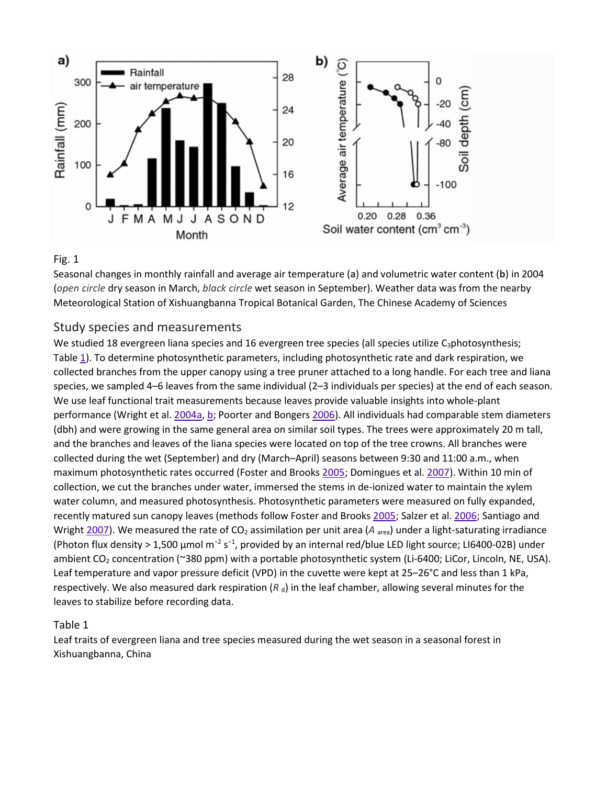

#### Fig. 1

Seasonal changes in monthly rainfall and average air temperature (**a**) and volumetric water content (**b**) in 2004 (*open circle* dry season in March, *black circle* wet season in September). Weather data was from the nearby Meteorological Station of Xishuangbanna Tropical Botanical Garden, The Chinese Academy of Sciences

#### Study species and measurements

We studied 18 evergreen liana species and 16 evergreen tree species (all species utilize C<sub>3</sub>photosynthesis; Table [1\)](https://link.springer.com/article/10.1007%2Fs00442-009-1355-4#Tab1). To determine photosynthetic parameters, including photosynthetic rate and dark respiration, we collected branches from the upper canopy using a tree pruner attached to a long handle. For each tree and liana species, we sampled 4–6 leaves from the same individual (2–3 individuals per species) at the end of each season. We use leaf functional trait measurements because leaves provide valuable insights into whole-plant performance (Wright et al. [2004a,](https://link.springer.com/article/10.1007%2Fs00442-009-1355-4#CR55) [b;](https://link.springer.com/article/10.1007%2Fs00442-009-1355-4#CR56) Poorter and Bongers [2006\)](https://link.springer.com/article/10.1007%2Fs00442-009-1355-4#CR32). All individuals had comparable stem diameters (dbh) and were growing in the same general area on similar soil types. The trees were approximately 20 m tall, and the branches and leaves of the liana species were located on top of the tree crowns. All branches were collected during the wet (September) and dry (March–April) seasons between 9:30 and 11:00 a.m., when maximum photosynthetic rates occurred (Foster and Brooks [2005;](https://link.springer.com/article/10.1007%2Fs00442-009-1355-4#CR15) Domingues et al. [2007\)](https://link.springer.com/article/10.1007%2Fs00442-009-1355-4#CR11). Within 10 min of collection, we cut the branches under water, immersed the stems in de-ionized water to maintain the xylem water column, and measured photosynthesis. Photosynthetic parameters were measured on fully expanded, recently matured sun canopy leaves (methods follow Foster and Brooks [2005;](https://link.springer.com/article/10.1007%2Fs00442-009-1355-4#CR15) Salzer et al. [2006;](https://link.springer.com/article/10.1007%2Fs00442-009-1355-4#CR41) Santiago and Wright [2007\)](https://link.springer.com/article/10.1007%2Fs00442-009-1355-4#CR42). We measured the rate of CO<sub>2</sub> assimilation per unit area (*A* <sub>area</sub>) under a light-saturating irradiance (Photon flux density > 1,500 μmol m<sup>-2</sup> s<sup>-1</sup>, provided by an internal red/blue LED light source; LI6400-02B) under ambient CO<sub>2</sub> concentration (~380 ppm) with a portable photosynthetic system (Li-6400; LiCor, Lincoln, NE, USA). Leaf temperature and vapor pressure deficit (VPD) in the cuvette were kept at 25–26°C and less than 1 kPa, respectively. We also measured dark respiration  $(R_d)$  in the leaf chamber, allowing several minutes for the leaves to stabilize before recording data.

#### Table 1

Leaf traits of evergreen liana and tree species measured during the wet season in a seasonal forest in Xishuangbanna, China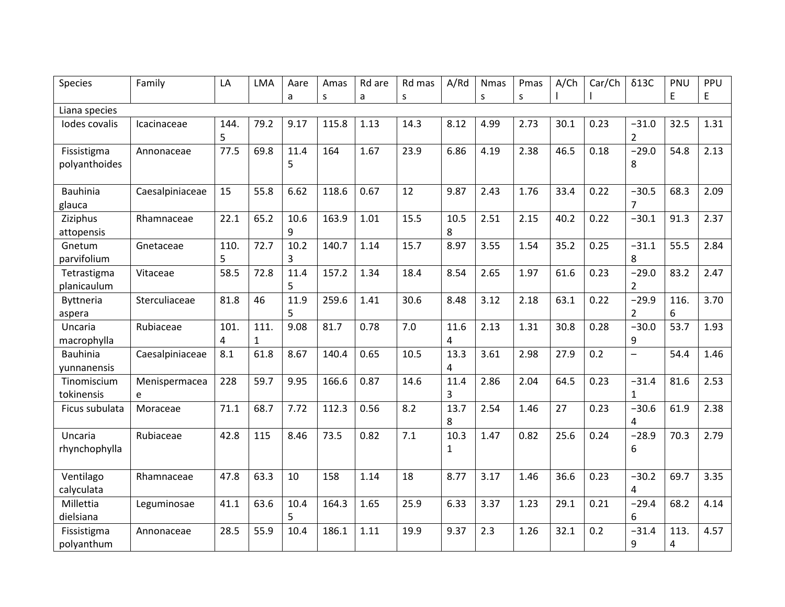| <b>Species</b>                 | Family             | LA        | <b>LMA</b>           | Aare      | Amas  | Rd are | Rd mas | A/Rd                 | <b>Nmas</b> | Pmas | A/Ch | Car/Ch | $\delta$ 13C             | PNU       | PPU  |
|--------------------------------|--------------------|-----------|----------------------|-----------|-------|--------|--------|----------------------|-------------|------|------|--------|--------------------------|-----------|------|
|                                |                    |           |                      | a         | S     | a      | S      |                      | S           | S    |      |        |                          | E         | E    |
| Liana species                  |                    |           |                      |           |       |        |        |                      |             |      |      |        |                          |           |      |
| Iodes covalis                  | Icacinaceae        | 144.<br>5 | 79.2                 | 9.17      | 115.8 | 1.13   | 14.3   | 8.12                 | 4.99        | 2.73 | 30.1 | 0.23   | $-31.0$<br>2             | 32.5      | 1.31 |
| Fissistigma<br>polyanthoides   | Annonaceae         | 77.5      | 69.8                 | 11.4<br>5 | 164   | 1.67   | 23.9   | 6.86                 | 4.19        | 2.38 | 46.5 | 0.18   | $-29.0$<br>8             | 54.8      | 2.13 |
| <b>Bauhinia</b><br>glauca      | Caesalpiniaceae    | 15        | 55.8                 | 6.62      | 118.6 | 0.67   | 12     | 9.87                 | 2.43        | 1.76 | 33.4 | 0.22   | $-30.5$<br>7             | 68.3      | 2.09 |
| Ziziphus<br>attopensis         | Rhamnaceae         | 22.1      | 65.2                 | 10.6<br>9 | 163.9 | 1.01   | 15.5   | 10.5<br>8            | 2.51        | 2.15 | 40.2 | 0.22   | $-30.1$                  | 91.3      | 2.37 |
| Gnetum<br>parvifolium          | Gnetaceae          | 110.<br>5 | 72.7                 | 10.2<br>3 | 140.7 | 1.14   | 15.7   | 8.97                 | 3.55        | 1.54 | 35.2 | 0.25   | $-31.1$<br>8             | 55.5      | 2.84 |
| Tetrastigma<br>planicaulum     | Vitaceae           | 58.5      | 72.8                 | 11.4<br>5 | 157.2 | 1.34   | 18.4   | 8.54                 | 2.65        | 1.97 | 61.6 | 0.23   | $-29.0$<br>2             | 83.2      | 2.47 |
| <b>Byttneria</b><br>aspera     | Sterculiaceae      | 81.8      | 46                   | 11.9<br>5 | 259.6 | 1.41   | 30.6   | 8.48                 | 3.12        | 2.18 | 63.1 | 0.22   | $-29.9$<br>2             | 116.<br>6 | 3.70 |
| Uncaria<br>macrophylla         | Rubiaceae          | 101.<br>4 | 111.<br>$\mathbf{1}$ | 9.08      | 81.7  | 0.78   | 7.0    | 11.6<br>4            | 2.13        | 1.31 | 30.8 | 0.28   | $-30.0$<br>9             | 53.7      | 1.93 |
| <b>Bauhinia</b><br>yunnanensis | Caesalpiniaceae    | 8.1       | 61.8                 | 8.67      | 140.4 | 0.65   | 10.5   | 13.3<br>4            | 3.61        | 2.98 | 27.9 | 0.2    | $\overline{\phantom{0}}$ | 54.4      | 1.46 |
| Tinomiscium<br>tokinensis      | Menispermacea<br>e | 228       | 59.7                 | 9.95      | 166.6 | 0.87   | 14.6   | 11.4<br>3            | 2.86        | 2.04 | 64.5 | 0.23   | $-31.4$<br>1             | 81.6      | 2.53 |
| Ficus subulata                 | Moraceae           | 71.1      | 68.7                 | 7.72      | 112.3 | 0.56   | 8.2    | 13.7<br>8            | 2.54        | 1.46 | 27   | 0.23   | $-30.6$<br>4             | 61.9      | 2.38 |
| Uncaria<br>rhynchophylla       | Rubiaceae          | 42.8      | 115                  | 8.46      | 73.5  | 0.82   | 7.1    | 10.3<br>$\mathbf{1}$ | 1.47        | 0.82 | 25.6 | 0.24   | $-28.9$<br>6             | 70.3      | 2.79 |
| Ventilago<br>calyculata        | Rhamnaceae         | 47.8      | 63.3                 | 10        | 158   | 1.14   | 18     | 8.77                 | 3.17        | 1.46 | 36.6 | 0.23   | $-30.2$<br>4             | 69.7      | 3.35 |
| Millettia<br>dielsiana         | Leguminosae        | 41.1      | 63.6                 | 10.4<br>5 | 164.3 | 1.65   | 25.9   | 6.33                 | 3.37        | 1.23 | 29.1 | 0.21   | $-29.4$<br>6             | 68.2      | 4.14 |
| Fissistigma<br>polyanthum      | Annonaceae         | 28.5      | 55.9                 | 10.4      | 186.1 | 1.11   | 19.9   | 9.37                 | 2.3         | 1.26 | 32.1 | 0.2    | $-31.4$<br>9             | 113.<br>4 | 4.57 |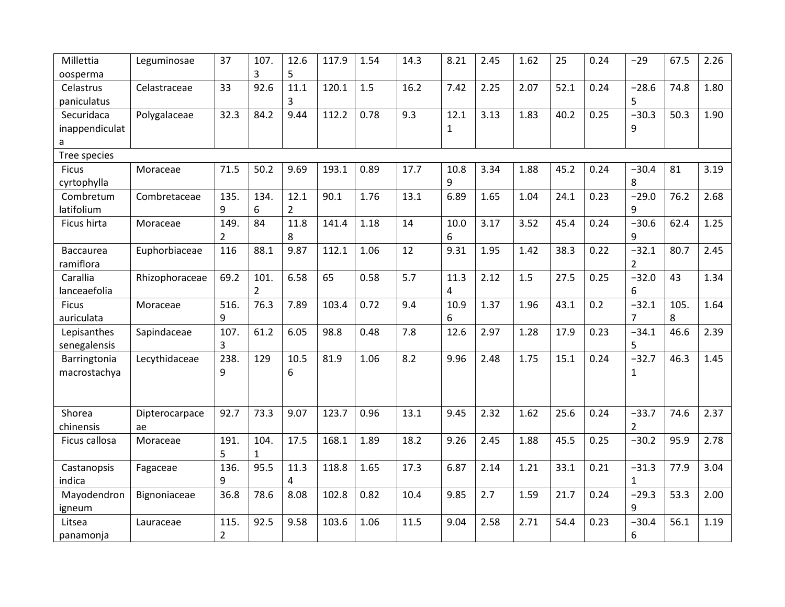| Millettia        | Leguminosae    | 37             | 107. | 12.6           | 117.9 | 1.54 | 14.3 | 8.21         | 2.45 | 1.62 | 25   | 0.24 | $-29$          | 67.5 | 2.26 |
|------------------|----------------|----------------|------|----------------|-------|------|------|--------------|------|------|------|------|----------------|------|------|
| oosperma         |                |                | 3    | 5              |       |      |      |              |      |      |      |      |                |      |      |
| Celastrus        | Celastraceae   | 33             | 92.6 | 11.1           | 120.1 | 1.5  | 16.2 | 7.42         | 2.25 | 2.07 | 52.1 | 0.24 | $-28.6$        | 74.8 | 1.80 |
| paniculatus      |                |                |      | 3              |       |      |      |              |      |      |      |      | 5              |      |      |
| Securidaca       | Polygalaceae   | 32.3           | 84.2 | 9.44           | 112.2 | 0.78 | 9.3  | 12.1         | 3.13 | 1.83 | 40.2 | 0.25 | $-30.3$        | 50.3 | 1.90 |
| inappendiculat   |                |                |      |                |       |      |      | $\mathbf{1}$ |      |      |      |      | 9              |      |      |
| a                |                |                |      |                |       |      |      |              |      |      |      |      |                |      |      |
| Tree species     |                |                |      |                |       |      |      |              |      |      |      |      |                |      |      |
| <b>Ficus</b>     | Moraceae       | 71.5           | 50.2 | 9.69           | 193.1 | 0.89 | 17.7 | 10.8         | 3.34 | 1.88 | 45.2 | 0.24 | $-30.4$        | 81   | 3.19 |
| cyrtophylla      |                |                |      |                |       |      |      | 9            |      |      |      |      | 8              |      |      |
| Combretum        | Combretaceae   | 135.           | 134. | 12.1           | 90.1  | 1.76 | 13.1 | 6.89         | 1.65 | 1.04 | 24.1 | 0.23 | $-29.0$        | 76.2 | 2.68 |
| latifolium       |                | 9              | 6    | $\overline{2}$ |       |      |      |              |      |      |      |      | 9              |      |      |
| Ficus hirta      | Moraceae       | 149.           | 84   | 11.8           | 141.4 | 1.18 | 14   | 10.0         | 3.17 | 3.52 | 45.4 | 0.24 | $-30.6$        | 62.4 | 1.25 |
|                  |                | $\overline{2}$ |      | 8              |       |      |      | 6            |      |      |      |      | 9              |      |      |
| <b>Baccaurea</b> | Euphorbiaceae  | 116            | 88.1 | 9.87           | 112.1 | 1.06 | 12   | 9.31         | 1.95 | 1.42 | 38.3 | 0.22 | $-32.1$        | 80.7 | 2.45 |
| ramiflora        |                |                |      |                |       |      |      |              |      |      |      |      | $\overline{2}$ |      |      |
| Carallia         | Rhizophoraceae | 69.2           | 101. | 6.58           | 65    | 0.58 | 5.7  | 11.3         | 2.12 | 1.5  | 27.5 | 0.25 | $-32.0$        | 43   | 1.34 |
| lanceaefolia     |                |                | 2    |                |       |      |      | 4            |      |      |      |      | 6              |      |      |
| <b>Ficus</b>     | Moraceae       | 516.           | 76.3 | 7.89           | 103.4 | 0.72 | 9.4  | 10.9         | 1.37 | 1.96 | 43.1 | 0.2  | $-32.1$        | 105. | 1.64 |
| auriculata       |                | 9              |      |                |       |      |      | 6            |      |      |      |      | $\overline{7}$ | 8    |      |
| Lepisanthes      | Sapindaceae    | 107.           | 61.2 | 6.05           | 98.8  | 0.48 | 7.8  | 12.6         | 2.97 | 1.28 | 17.9 | 0.23 | $-34.1$        | 46.6 | 2.39 |
| senegalensis     |                | 3              |      |                |       |      |      |              |      |      |      |      | 5              |      |      |
| Barringtonia     | Lecythidaceae  | 238.           | 129  | 10.5           | 81.9  | 1.06 | 8.2  | 9.96         | 2.48 | 1.75 | 15.1 | 0.24 | $-32.7$        | 46.3 | 1.45 |
| macrostachya     |                | 9              |      | 6              |       |      |      |              |      |      |      |      | 1              |      |      |
|                  |                |                |      |                |       |      |      |              |      |      |      |      |                |      |      |
|                  |                |                |      |                |       |      |      |              |      |      |      |      |                |      |      |
| Shorea           | Dipterocarpace | 92.7           | 73.3 | 9.07           | 123.7 | 0.96 | 13.1 | 9.45         | 2.32 | 1.62 | 25.6 | 0.24 | $-33.7$        | 74.6 | 2.37 |
| chinensis        | ae             |                |      |                |       |      |      |              |      |      |      |      | $\overline{2}$ |      |      |
| Ficus callosa    | Moraceae       | 191.           | 104. | 17.5           | 168.1 | 1.89 | 18.2 | 9.26         | 2.45 | 1.88 | 45.5 | 0.25 | $-30.2$        | 95.9 | 2.78 |
|                  |                | 5              | 1    |                |       |      |      |              |      |      |      |      |                |      |      |
| Castanopsis      | Fagaceae       | 136.           | 95.5 | 11.3           | 118.8 | 1.65 | 17.3 | 6.87         | 2.14 | 1.21 | 33.1 | 0.21 | $-31.3$        | 77.9 | 3.04 |
| indica           |                | 9              |      | 4              |       |      |      |              |      |      |      |      | $\mathbf{1}$   |      |      |
| Mayodendron      | Bignoniaceae   | 36.8           | 78.6 | 8.08           | 102.8 | 0.82 | 10.4 | 9.85         | 2.7  | 1.59 | 21.7 | 0.24 | $-29.3$        | 53.3 | 2.00 |
| igneum           |                |                |      |                |       |      |      |              |      |      |      |      | 9              |      |      |
| Litsea           | Lauraceae      | 115.           | 92.5 | 9.58           | 103.6 | 1.06 | 11.5 | 9.04         | 2.58 | 2.71 | 54.4 | 0.23 | $-30.4$        | 56.1 | 1.19 |
| panamonja        |                | $\overline{2}$ |      |                |       |      |      |              |      |      |      |      | 6              |      |      |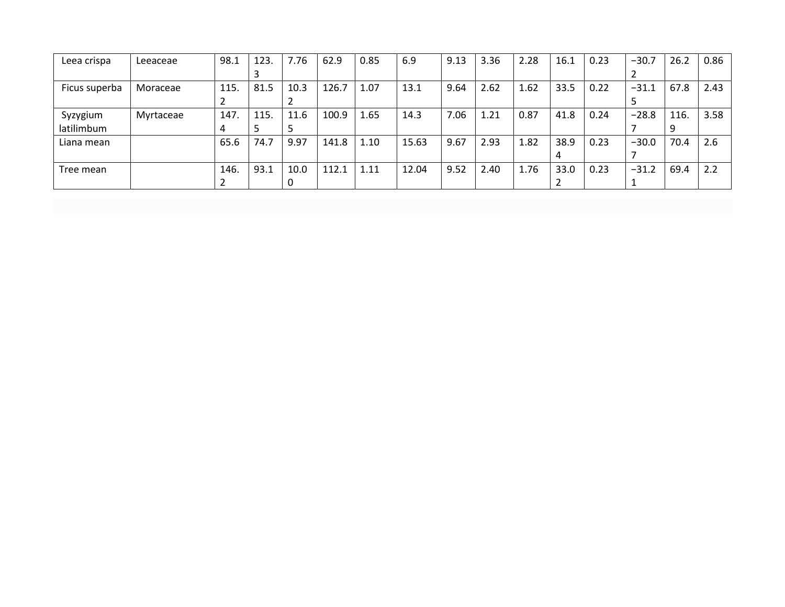| Leea crispa   | Leeaceae  | 98.1 | 123. | 7.76 | 62.9  | 0.85 | 6.9   | 9.13 | 3.36 | 2.28 | 16.1 | 0.23 | $-30.7$ | 26.2 | 0.86 |
|---------------|-----------|------|------|------|-------|------|-------|------|------|------|------|------|---------|------|------|
|               |           |      |      |      |       |      |       |      |      |      |      |      |         |      |      |
| Ficus superba | Moraceae  | 115. | 81.5 | 10.3 | 126.7 | 1.07 | 13.1  | 9.64 | 2.62 | 1.62 | 33.5 | 0.22 | $-31.1$ | 67.8 | 2.43 |
|               |           |      |      |      |       |      |       |      |      |      |      |      |         |      |      |
| Syzygium      | Myrtaceae | 147. | 115. | 11.6 | 100.9 | 1.65 | 14.3  | 7.06 | 1.21 | 0.87 | 41.8 | 0.24 | $-28.8$ | 116. | 3.58 |
| latilimbum    |           | 4    |      |      |       |      |       |      |      |      |      |      |         | 9    |      |
| Liana mean    |           | 65.6 | 74.7 | 9.97 | 141.8 | 1.10 | 15.63 | 9.67 | 2.93 | 1.82 | 38.9 | 0.23 | $-30.0$ | 70.4 | 2.6  |
|               |           |      |      |      |       |      |       |      |      |      |      |      |         |      |      |
| Tree mean     |           | 146. | 93.1 | 10.0 | 112.1 | 1.11 | 12.04 | 9.52 | 2.40 | 1.76 | 33.0 | 0.23 | $-31.2$ | 69.4 | 2.2  |
|               |           |      |      |      |       |      |       |      |      |      |      |      |         |      |      |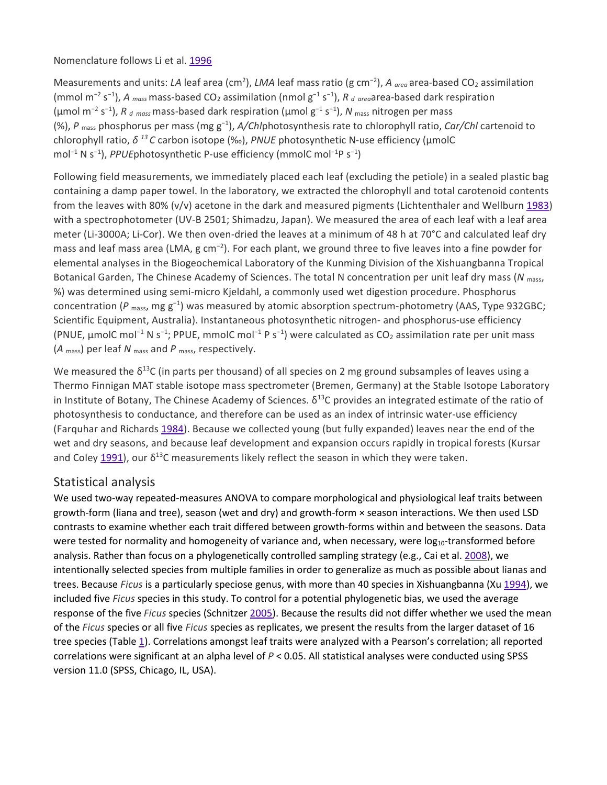#### Nomenclature follows Li et al. [1996](https://link.springer.com/article/10.1007%2Fs00442-009-1355-4#CR27)

Measurements and units: *LA* leaf area (cm<sup>2</sup>), *LMA* leaf mass ratio (g cm<sup>-2</sup>), *A <sub>area</sub>* area-based CO<sub>2</sub> assimilation (mmol m<sup>-2</sup> s<sup>-1</sup>), *A* <sub>mass</sub> mass-based CO<sub>2</sub> assimilation (nmol g<sup>-1</sup> s<sup>-1</sup>), *R* <sub>d area</sub>area-based dark respiration (μmol m<sup>−</sup><sup>2</sup> s<sup>−</sup><sup>1</sup> ), *R <sup>d</sup> mass*mass-based dark respiration (μmol g<sup>−</sup><sup>1</sup> s<sup>−</sup><sup>1</sup> ), *N* mass nitrogen per mass (%), *P* mass phosphorus per mass (mg g<sup>-1</sup>), *A/Chl*photosynthesis rate to chlorophyll ratio, *Car/Chl* cartenoid to chlorophyll ratio, *δ <sup>13</sup> C* carbon isotope (‰), *PNUE* photosynthetic N-use efficiency (μmolC mol<sup>-1</sup> N s<sup>-1</sup>), *PPUE*photosynthetic P-use efficiency (mmolC mol<sup>-1</sup>P s<sup>-1</sup>)

Following field measurements, we immediately placed each leaf (excluding the petiole) in a sealed plastic bag containing a damp paper towel. In the laboratory, we extracted the chlorophyll and total carotenoid contents from the leaves with 80% ( $v/v$ ) acetone in the dark and measured pigments (Lichtenthaler and Wellburn [1983\)](https://link.springer.com/article/10.1007%2Fs00442-009-1355-4#CR28) with a spectrophotometer (UV-B 2501; Shimadzu, Japan). We measured the area of each leaf with a leaf area meter (Li-3000A; Li-Cor). We then oven-dried the leaves at a minimum of 48 h at 70°C and calculated leaf dry mass and leaf mass area (LMA, g cm<sup>-2</sup>). For each plant, we ground three to five leaves into a fine powder for elemental analyses in the Biogeochemical Laboratory of the Kunming Division of the Xishuangbanna Tropical Botanical Garden, The Chinese Academy of Sciences. The total N concentration per unit leaf dry mass (*N* mass, %) was determined using semi-micro Kjeldahl, a commonly used wet digestion procedure. Phosphorus concentration (P <sub>mass</sub>, mg g<sup>-1</sup>) was measured by atomic absorption spectrum-photometry (AAS, Type 932GBC; Scientific Equipment, Australia). Instantaneous photosynthetic nitrogen- and phosphorus-use efficiency (PNUE, μmolC mol−<sup>1</sup> N s<sup>−</sup><sup>1</sup> ; PPUE, mmolC mol<sup>−</sup><sup>1</sup> P s<sup>−</sup><sup>1</sup> ) were calculated as CO2 assimilation rate per unit mass (*A* mass) per leaf *N* mass and *P* mass, respectively.

We measured the  $\delta^{13}C$  (in parts per thousand) of all species on 2 mg ground subsamples of leaves using a Thermo Finnigan MAT stable isotope mass spectrometer (Bremen, Germany) at the Stable Isotope Laboratory in Institute of Botany, The Chinese Academy of Sciences.  $\delta^{13}$ C provides an integrated estimate of the ratio of photosynthesis to conductance, and therefore can be used as an index of intrinsic water-use efficiency (Farquhar and Richards [1984\)](https://link.springer.com/article/10.1007%2Fs00442-009-1355-4#CR13). Because we collected young (but fully expanded) leaves near the end of the wet and dry seasons, and because leaf development and expansion occurs rapidly in tropical forests (Kursar and Coley [1991](https://link.springer.com/article/10.1007%2Fs00442-009-1355-4#CR25)), our  $\delta^{13}$ C measurements likely reflect the season in which they were taken.

#### Statistical analysis

We used two-way repeated-measures ANOVA to compare morphological and physiological leaf traits between growth-form (liana and tree), season (wet and dry) and growth-form × season interactions. We then used LSD contrasts to examine whether each trait differed between growth-forms within and between the seasons. Data were tested for normality and homogeneity of variance and, when necessary, were  $log_{10}$ -transformed before analysis. Rather than focus on a phylogenetically controlled sampling strategy (e.g., Cai et al. [2008\)](https://link.springer.com/article/10.1007%2Fs00442-009-1355-4#CR5), we intentionally selected species from multiple families in order to generalize as much as possible about lianas and trees. Because *Ficus* is a particularly speciose genus, with more than 40 species in Xishuangbanna (Xu [1994\)](https://link.springer.com/article/10.1007%2Fs00442-009-1355-4#CR58), we included five *Ficus* species in this study. To control for a potential phylogenetic bias, we used the average response of the five *Ficus* species (Schnitzer [2005\)](https://link.springer.com/article/10.1007%2Fs00442-009-1355-4#CR43). Because the results did not differ whether we used the mean of the *Ficus* species or all five *Ficus* species as replicates, we present the results from the larger dataset of 16 tree species (Table [1\)](https://link.springer.com/article/10.1007%2Fs00442-009-1355-4#Tab1). Correlations amongst leaf traits were analyzed with a Pearson's correlation; all reported correlations were significant at an alpha level of *P* < 0.05. All statistical analyses were conducted using SPSS version 11.0 (SPSS, Chicago, IL, USA).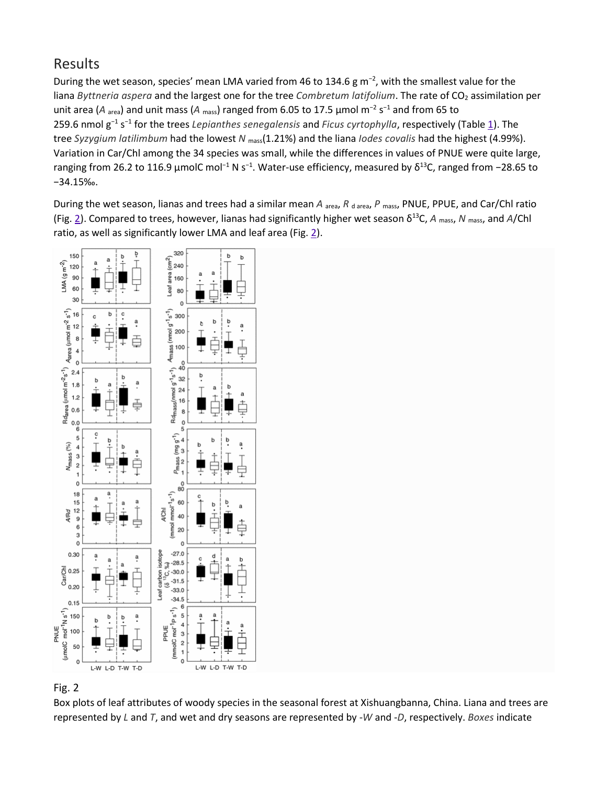# Results

During the wet season, species' mean LMA varied from 46 to 134.6 g m<sup>-2</sup>, with the smallest value for the liana *Byttneria aspera* and the largest one for the tree *Combretum latifolium*. The rate of CO<sub>2</sub> assimilation per unit area (*A* area) and unit mass (*A* mass) ranged from 6.05 to 17.5 μmol m<sup>−</sup><sup>2</sup> s<sup>−</sup><sup>1</sup> and from 65 to 259.6 nmol g<sup>−</sup><sup>1</sup> s<sup>−</sup><sup>1</sup> for the trees *Lepianthes senegalensis* and *Ficus cyrtophylla*, respectively (Table [1\)](https://link.springer.com/article/10.1007%2Fs00442-009-1355-4#Tab1). The tree *Syzygium latilimbum* had the lowest *N* mass(1.21%) and the liana *Iodes covalis* had the highest (4.99%). Variation in Car/Chl among the 34 species was small, while the differences in values of PNUE were quite large, ranging from 26.2 to 116.9 μmolC mol<sup>-1</sup> N s<sup>-1</sup>. Water-use efficiency, measured by δ<sup>13</sup>C, ranged from -28.65 to −34.15‰.

During the wet season, lianas and trees had a similar mean *A* <sub>area</sub>, *R* d area, *P* mass, PNUE, PPUE, and Car/Chl ratio (Fig. [2](https://link.springer.com/article/10.1007%2Fs00442-009-1355-4#Fig2)). Compared to trees, however, lianas had significantly higher wet season δ13C, *A* mass, *N* mass, and *A*/Chl ratio, as well as significantly lower LMA and leaf area (Fig. [2\)](https://link.springer.com/article/10.1007%2Fs00442-009-1355-4#Fig2).



## Fig. 2

Box plots of leaf attributes of woody species in the seasonal forest at Xishuangbanna, China. Liana and trees are represented by *L* and *T*, and wet and dry seasons are represented by -*W* and -*D*, respectively. *Boxes* indicate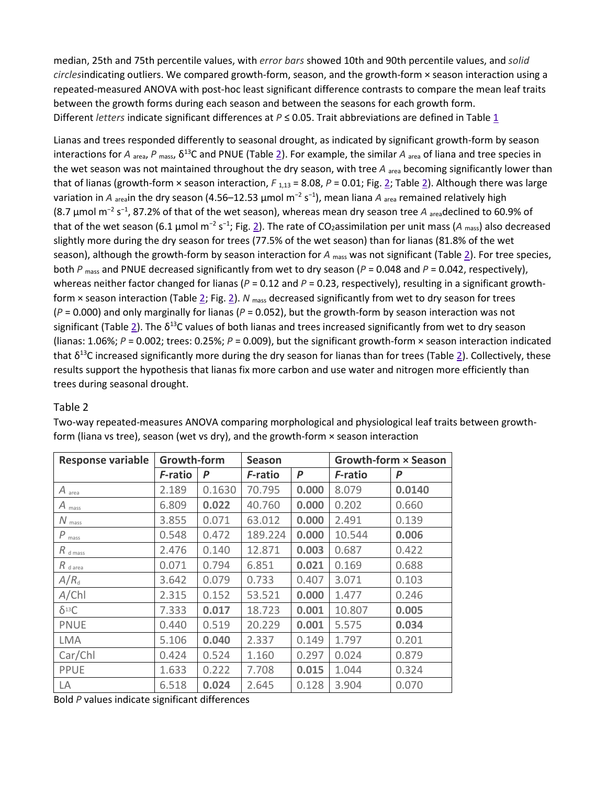median, 25th and 75th percentile values, with *error bars* showed 10th and 90th percentile values, and *solid circles*indicating outliers. We compared growth-form, season, and the growth-form × season interaction using a repeated-measured ANOVA with post-hoc least significant difference contrasts to compare the mean leaf traits between the growth forms during each season and between the seasons for each growth form. Different *letters* indicate significant differences at *P* ≤ 0.05. Trait abbreviations are defined in Table [1](https://link.springer.com/article/10.1007%2Fs00442-009-1355-4#Tab1)

Lianas and trees responded differently to seasonal drought, as indicated by significant growth-form by season interactions for *A* <sub>area</sub>, *P* <sub>mass</sub>,  $\delta^{13}$ C and PNUE (Table [2\)](https://link.springer.com/article/10.1007%2Fs00442-009-1355-4#Tab2). For example, the similar *A* <sub>area</sub> of liana and tree species in the wet season was not maintained throughout the dry season, with tree *A* area becoming significantly lower than that of lianas (growth-form  $\times$  season interaction,  $F_{1,13}$  = 8.08,  $P$  = 0.01; Fig. [2;](https://link.springer.com/article/10.1007%2Fs00442-009-1355-4#Fig2) Table [2\)](https://link.springer.com/article/10.1007%2Fs00442-009-1355-4#Tab2). Although there was large variation in *A* <sub>area</sub>in the dry season (4.56–12.53 μmol m<sup>−2</sup> s<sup>−1</sup>), mean liana *A* <sub>area</sub> remained relatively high (8.7 μmol m<sup>−</sup><sup>2</sup> s<sup>−</sup><sup>1</sup> , 87.2% of that of the wet season), whereas mean dry season tree *A* areadeclined to 60.9% of that of the wet season (6.1 μmol m<sup>-2</sup> s<sup>-1</sup>; Fig. <u>2</u>). The rate of CO<sub>2</sub>assimilation per unit mass (A <sub>mass</sub>) also decreased slightly more during the dry season for trees (77.5% of the wet season) than for lianas (81.8% of the wet season), although the growth-form by season interaction for *A* mass was not significant (Table [2\)](https://link.springer.com/article/10.1007%2Fs00442-009-1355-4#Tab2). For tree species, both *P* mass and PNUE decreased significantly from wet to dry season (*P* = 0.048 and *P* = 0.042, respectively), whereas neither factor changed for lianas ( $P = 0.12$  and  $P = 0.23$ , respectively), resulting in a significant growthform × season interaction (Table [2;](https://link.springer.com/article/10.1007%2Fs00442-009-1355-4#Tab2) Fig. [2\)](https://link.springer.com/article/10.1007%2Fs00442-009-1355-4#Fig2). *N* mass decreased significantly from wet to dry season for trees (*P* = 0.000) and only marginally for lianas (*P* = 0.052), but the growth-form by season interaction was not significant (Table [2](https://link.springer.com/article/10.1007%2Fs00442-009-1355-4#Tab2)). The  $\delta^{13}$ C values of both lianas and trees increased significantly from wet to dry season (lianas: 1.06%; *P* = 0.002; trees: 0.25%; *P* = 0.009), but the significant growth-form × season interaction indicated that  $\delta^{13}$ C increased significantly more during the dry season for lianas than for trees (Table [2\)](https://link.springer.com/article/10.1007%2Fs00442-009-1355-4#Tab2). Collectively, these results support the hypothesis that lianas fix more carbon and use water and nitrogen more efficiently than trees during seasonal drought.

#### Table 2

| <b>Response variable</b>    | Growth-form |        | <b>Season</b>   |       |         | Growth-form × Season |
|-----------------------------|-------------|--------|-----------------|-------|---------|----------------------|
|                             | F-ratio     | P      | <i>F</i> -ratio | P     | F-ratio | P                    |
| $A$ area                    | 2.189       | 0.1630 | 70.795          | 0.000 | 8.079   | 0.0140               |
| $A_{\text{mass}}$           | 6.809       | 0.022  | 40.760          | 0.000 | 0.202   | 0.660                |
| $N_{\text{mass}}$           | 3.855       | 0.071  | 63.012          | 0.000 | 2.491   | 0.139                |
| $P_{\text{mass}}$           | 0.548       | 0.472  | 189.224         | 0.000 | 10.544  | 0.006                |
| $R_{\text{d} \text{ mass}}$ | 2.476       | 0.140  | 12.871          | 0.003 | 0.687   | 0.422                |
| $R_{\text{d area}}$         | 0.071       | 0.794  | 6.851           | 0.021 | 0.169   | 0.688                |
| $A/R_{d}$                   | 3.642       | 0.079  | 0.733           | 0.407 | 3.071   | 0.103                |
| A/ChI                       | 2.315       | 0.152  | 53.521          | 0.000 | 1.477   | 0.246                |
| $\delta^{13}C$              | 7.333       | 0.017  | 18.723          | 0.001 | 10.807  | 0.005                |
| <b>PNUE</b>                 | 0.440       | 0.519  | 20.229          | 0.001 | 5.575   | 0.034                |
| <b>LMA</b>                  | 5.106       | 0.040  | 2.337           | 0.149 | 1.797   | 0.201                |
| Car/Chl                     | 0.424       | 0.524  | 1.160           | 0.297 | 0.024   | 0.879                |
| PPUE                        | 1.633       | 0.222  | 7.708           | 0.015 | 1.044   | 0.324                |
| LA                          | 6.518       | 0.024  | 2.645           | 0.128 | 3.904   | 0.070                |

Two-way repeated-measures ANOVA comparing morphological and physiological leaf traits between growthform (liana vs tree), season (wet vs dry), and the growth-form  $\times$  season interaction

Bold *P* values indicate significant differences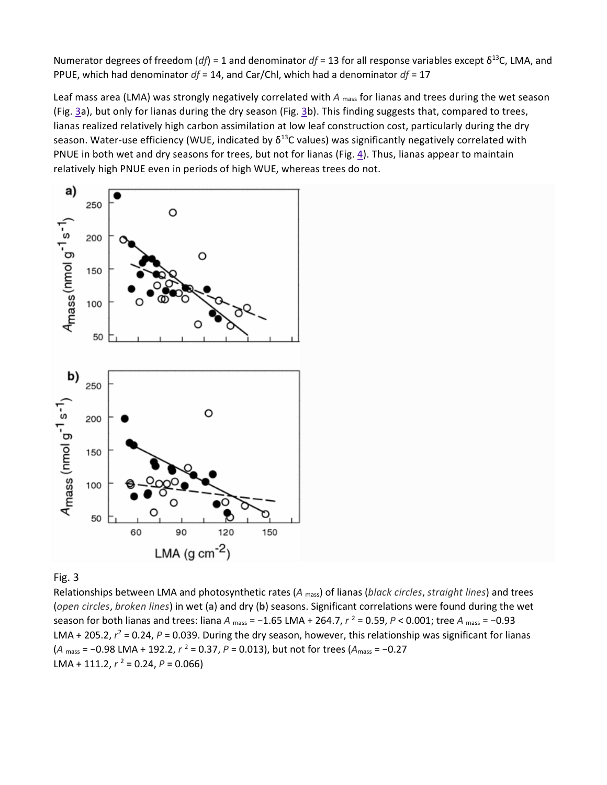Numerator degrees of freedom ( $df$ ) = 1 and denominator  $df = 13$  for all response variables except  $\delta^{13}$ C, LMA, and PPUE, which had denominator *df* = 14, and Car/Chl, which had a denominator *df* = 17

Leaf mass area (LMA) was strongly negatively correlated with *A* <sub>mass</sub> for lianas and trees during the wet season (Fig. [3a](https://link.springer.com/article/10.1007%2Fs00442-009-1355-4#Fig3)), but only for lianas during the dry season (Fig. [3b](https://link.springer.com/article/10.1007%2Fs00442-009-1355-4#Fig3)). This finding suggests that, compared to trees, lianas realized relatively high carbon assimilation at low leaf construction cost, particularly during the dry season. Water-use efficiency (WUE, indicated by  $\delta^{13}$ C values) was significantly negatively correlated with PNUE in both wet and dry seasons for trees, but not for lianas (Fig. [4\)](https://link.springer.com/article/10.1007%2Fs00442-009-1355-4#Fig4). Thus, lianas appear to maintain relatively high PNUE even in periods of high WUE, whereas trees do not.



#### Fig. 3

Relationships between LMA and photosynthetic rates (*A* mass) of lianas (*black circles*, *straight lines*) and trees (*open circles*, *broken lines*) in wet (**a**) and dry (**b**) seasons. Significant correlations were found during the wet season for both lianas and trees: liana *A* <sub>mass</sub> = −1.65 LMA + 264.7,  $r^2$  = 0.59,  $P$  < 0.001; tree *A* <sub>mass</sub> = −0.93 LMA + 205.2,  $r^2$  = 0.24,  $P$  = 0.039. During the dry season, however, this relationship was significant for lianas (*A* mass = −0.98 LMA + 192.2,  $r^2$  = 0.37,  $P$  = 0.013), but not for trees ( $A_{\text{mass}}$  = −0.27 LMA + 111.2,  $r^2$  = 0.24,  $P$  = 0.066)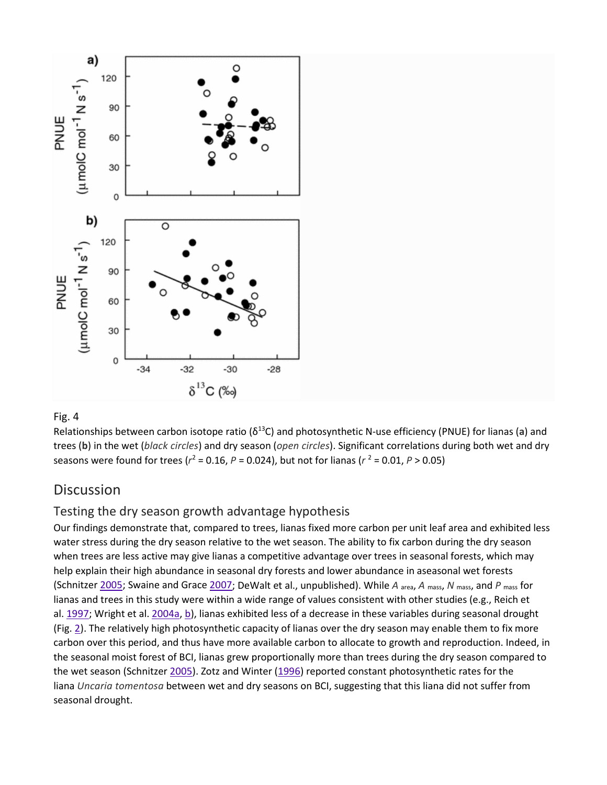

#### Fig. 4

Relationships between carbon isotope ratio (δ13C) and photosynthetic N-use efficiency (PNUE) for lianas (**a**) and trees (**b**) in the wet (*black circles*) and dry season (*open circles*). Significant correlations during both wet and dry seasons were found for trees ( $r^2$  = 0.16,  $P$  = 0.024), but not for lianas ( $r^2$  = 0.01,  $P > 0.05$ )

# **Discussion**

## Testing the dry season growth advantage hypothesis

Our findings demonstrate that, compared to trees, lianas fixed more carbon per unit leaf area and exhibited less water stress during the dry season relative to the wet season. The ability to fix carbon during the dry season when trees are less active may give lianas a competitive advantage over trees in seasonal forests, which may help explain their high abundance in seasonal dry forests and lower abundance in aseasonal wet forests (Schnitzer [2005;](https://link.springer.com/article/10.1007%2Fs00442-009-1355-4#CR43) Swaine and Grace [2007;](https://link.springer.com/article/10.1007%2Fs00442-009-1355-4#CR50) DeWalt et al., unpublished). While *A* area, *A* mass, *N* mass, and *P* mass for lianas and trees in this study were within a wide range of values consistent with other studies (e.g., Reich et al. [1997;](https://link.springer.com/article/10.1007%2Fs00442-009-1355-4#CR38) Wright et al. [2004a,](https://link.springer.com/article/10.1007%2Fs00442-009-1355-4#CR55) [b\)](https://link.springer.com/article/10.1007%2Fs00442-009-1355-4#CR56), lianas exhibited less of a decrease in these variables during seasonal drought (Fig. [2\)](https://link.springer.com/article/10.1007%2Fs00442-009-1355-4#Fig2). The relatively high photosynthetic capacity of lianas over the dry season may enable them to fix more carbon over this period, and thus have more available carbon to allocate to growth and reproduction. Indeed, in the seasonal moist forest of BCI, lianas grew proportionally more than trees during the dry season compared to the wet season (Schnitzer [2005\)](https://link.springer.com/article/10.1007%2Fs00442-009-1355-4#CR43). Zotz and Winter [\(1996\)](https://link.springer.com/article/10.1007%2Fs00442-009-1355-4#CR60) reported constant photosynthetic rates for the liana *Uncaria tomentosa* between wet and dry seasons on BCI, suggesting that this liana did not suffer from seasonal drought.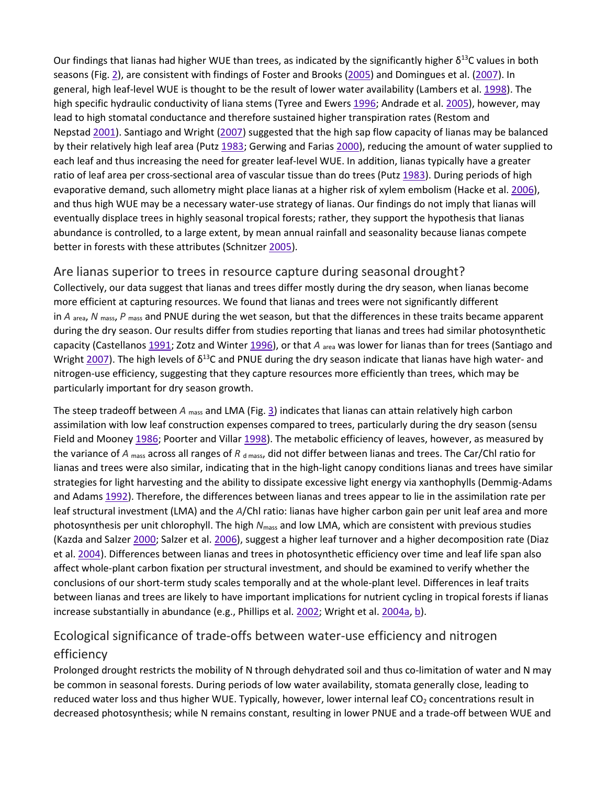Our findings that lianas had higher WUE than trees, as indicated by the significantly higher  $\delta^{13}$ C values in both seasons (Fig. [2\)](https://link.springer.com/article/10.1007%2Fs00442-009-1355-4#Fig2), are consistent with findings of Foster and Brooks [\(2005\)](https://link.springer.com/article/10.1007%2Fs00442-009-1355-4#CR15) and Domingues et al. [\(2007\)](https://link.springer.com/article/10.1007%2Fs00442-009-1355-4#CR11). In general, high leaf-level WUE is thought to be the result of lower water availability (Lambers et al. [1998\)](https://link.springer.com/article/10.1007%2Fs00442-009-1355-4#CR26). The high specific hydraulic conductivity of liana stems (Tyree and Ewers [1996;](https://link.springer.com/article/10.1007%2Fs00442-009-1355-4#CR51) Andrade et al. [2005\)](https://link.springer.com/article/10.1007%2Fs00442-009-1355-4#CR1), however, may lead to high stomatal conductance and therefore sustained higher transpiration rates (Restom and Nepstad [2001\)](https://link.springer.com/article/10.1007%2Fs00442-009-1355-4#CR39). Santiago and Wright [\(2007\)](https://link.springer.com/article/10.1007%2Fs00442-009-1355-4#CR42) suggested that the high sap flow capacity of lianas may be balanced by their relatively high leaf area (Putz [1983;](https://link.springer.com/article/10.1007%2Fs00442-009-1355-4#CR34) Gerwing and Farias [2000\)](https://link.springer.com/article/10.1007%2Fs00442-009-1355-4#CR17), reducing the amount of water supplied to each leaf and thus increasing the need for greater leaf-level WUE. In addition, lianas typically have a greater ratio of leaf area per cross-sectional area of vascular tissue than do trees (Putz [1983\)](https://link.springer.com/article/10.1007%2Fs00442-009-1355-4#CR34). During periods of high evaporative demand, such allometry might place lianas at a higher risk of xylem embolism (Hacke et al. [2006\)](https://link.springer.com/article/10.1007%2Fs00442-009-1355-4#CR19), and thus high WUE may be a necessary water-use strategy of lianas. Our findings do not imply that lianas will eventually displace trees in highly seasonal tropical forests; rather, they support the hypothesis that lianas abundance is controlled, to a large extent, by mean annual rainfall and seasonality because lianas compete better in forests with these attributes (Schnitzer [2005\)](https://link.springer.com/article/10.1007%2Fs00442-009-1355-4#CR43).

## Are lianas superior to trees in resource capture during seasonal drought?

Collectively, our data suggest that lianas and trees differ mostly during the dry season, when lianas become more efficient at capturing resources. We found that lianas and trees were not significantly different in *A* area, *N* mass, *P* mass and PNUE during the wet season, but that the differences in these traits became apparent during the dry season. Our results differ from studies reporting that lianas and trees had similar photosynthetic capacity (Castellanos [1991;](https://link.springer.com/article/10.1007%2Fs00442-009-1355-4#CR7) Zotz and Winter [1996\)](https://link.springer.com/article/10.1007%2Fs00442-009-1355-4#CR60), or that *A* area was lower for lianas than for trees (Santiago and Wright [2007](https://link.springer.com/article/10.1007%2Fs00442-009-1355-4#CR42)). The high levels of  $\delta^{13}$ C and PNUE during the dry season indicate that lianas have high water- and nitrogen-use efficiency, suggesting that they capture resources more efficiently than trees, which may be particularly important for dry season growth.

The steep tradeoff between *A* mass and LMA (Fig. [3\)](https://link.springer.com/article/10.1007%2Fs00442-009-1355-4#Fig3) indicates that lianas can attain relatively high carbon assimilation with low leaf construction expenses compared to trees, particularly during the dry season (sensu Field and Mooney [1986;](https://link.springer.com/article/10.1007%2Fs00442-009-1355-4#CR14) Poorter and Villar [1998\)](https://link.springer.com/article/10.1007%2Fs00442-009-1355-4#CR33). The metabolic efficiency of leaves, however, as measured by the variance of *A* <sub>mass</sub> across all ranges of *R* d mass, did not differ between lianas and trees. The Car/Chl ratio for lianas and trees were also similar, indicating that in the high-light canopy conditions lianas and trees have similar strategies for light harvesting and the ability to dissipate excessive light energy via xanthophylls (Demmig-Adams and Adams [1992\)](https://link.springer.com/article/10.1007%2Fs00442-009-1355-4#CR9). Therefore, the differences between lianas and trees appear to lie in the assimilation rate per leaf structural investment (LMA) and the *A*/Chl ratio: lianas have higher carbon gain per unit leaf area and more photosynthesis per unit chlorophyll. The high *N*mass and low LMA, which are consistent with previous studies (Kazda and Salzer [2000;](https://link.springer.com/article/10.1007%2Fs00442-009-1355-4#CR24) Salzer et al. [2006\)](https://link.springer.com/article/10.1007%2Fs00442-009-1355-4#CR41), suggest a higher leaf turnover and a higher decomposition rate (Diaz et al. [2004\)](https://link.springer.com/article/10.1007%2Fs00442-009-1355-4#CR10). Differences between lianas and trees in photosynthetic efficiency over time and leaf life span also affect whole-plant carbon fixation per structural investment, and should be examined to verify whether the conclusions of our short-term study scales temporally and at the whole-plant level. Differences in leaf traits between lianas and trees are likely to have important implications for nutrient cycling in tropical forests if lianas increase substantially in abundance (e.g., Phillips et al. [2002;](https://link.springer.com/article/10.1007%2Fs00442-009-1355-4#CR31) Wright et al. [2004a,](https://link.springer.com/article/10.1007%2Fs00442-009-1355-4#CR55) [b\)](https://link.springer.com/article/10.1007%2Fs00442-009-1355-4#CR56).

# Ecological significance of trade-offs between water-use efficiency and nitrogen efficiency

Prolonged drought restricts the mobility of N through dehydrated soil and thus co-limitation of water and N may be common in seasonal forests. During periods of low water availability, stomata generally close, leading to reduced water loss and thus higher WUE. Typically, however, lower internal leaf CO<sub>2</sub> concentrations result in decreased photosynthesis; while N remains constant, resulting in lower PNUE and a trade-off between WUE and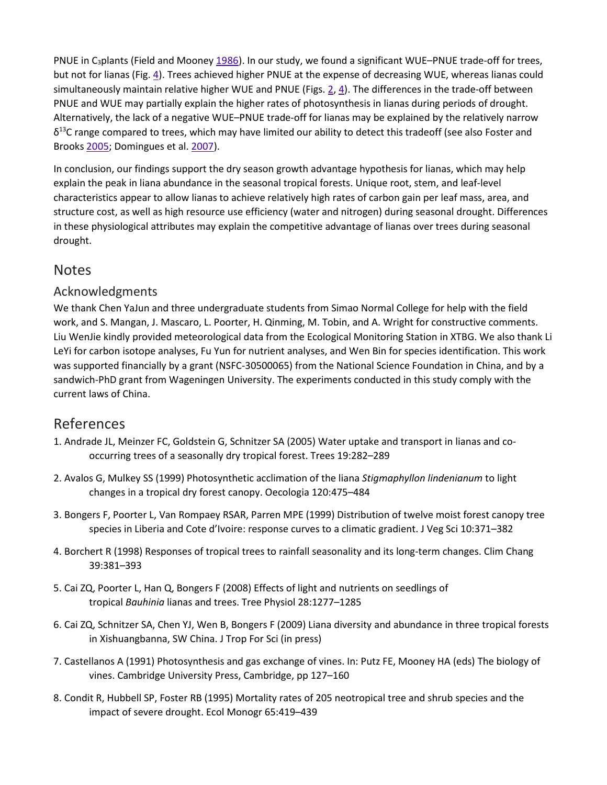PNUE in C<sub>3</sub>plants (Field and Mooney [1986\)](https://link.springer.com/article/10.1007%2Fs00442-009-1355-4#CR14). In our study, we found a significant WUE–PNUE trade-off for trees, but not for lianas (Fig. [4\)](https://link.springer.com/article/10.1007%2Fs00442-009-1355-4#Fig4). Trees achieved higher PNUE at the expense of decreasing WUE, whereas lianas could simultaneously maintain relative higher WUE and PNUE (Figs. [2,](https://link.springer.com/article/10.1007%2Fs00442-009-1355-4#Fig2) [4\)](https://link.springer.com/article/10.1007%2Fs00442-009-1355-4#Fig4). The differences in the trade-off between PNUE and WUE may partially explain the higher rates of photosynthesis in lianas during periods of drought. Alternatively, the lack of a negative WUE–PNUE trade-off for lianas may be explained by the relatively narrow  $\delta^{13}$ C range compared to trees, which may have limited our ability to detect this tradeoff (see also Foster and Brooks [2005;](https://link.springer.com/article/10.1007%2Fs00442-009-1355-4#CR15) Domingues et al. [2007\)](https://link.springer.com/article/10.1007%2Fs00442-009-1355-4#CR11).

In conclusion, our findings support the dry season growth advantage hypothesis for lianas, which may help explain the peak in liana abundance in the seasonal tropical forests. Unique root, stem, and leaf-level characteristics appear to allow lianas to achieve relatively high rates of carbon gain per leaf mass, area, and structure cost, as well as high resource use efficiency (water and nitrogen) during seasonal drought. Differences in these physiological attributes may explain the competitive advantage of lianas over trees during seasonal drought.

## **Notes**

### Acknowledgments

We thank Chen YaJun and three undergraduate students from Simao Normal College for help with the field work, and S. Mangan, J. Mascaro, L. Poorter, H. Qinming, M. Tobin, and A. Wright for constructive comments. Liu WenJie kindly provided meteorological data from the Ecological Monitoring Station in XTBG. We also thank Li LeYi for carbon isotope analyses, Fu Yun for nutrient analyses, and Wen Bin for species identification. This work was supported financially by a grant (NSFC-30500065) from the National Science Foundation in China, and by a sandwich-PhD grant from Wageningen University. The experiments conducted in this study comply with the current laws of China.

## References

- 1. Andrade JL, Meinzer FC, Goldstein G, Schnitzer SA (2005) Water uptake and transport in lianas and cooccurring trees of a seasonally dry tropical forest. Trees 19:282–289
- 2. Avalos G, Mulkey SS (1999) Photosynthetic acclimation of the liana *Stigmaphyllon lindenianum* to light changes in a tropical dry forest canopy. Oecologia 120:475–484
- 3. Bongers F, Poorter L, Van Rompaey RSAR, Parren MPE (1999) Distribution of twelve moist forest canopy tree species in Liberia and Cote d'Ivoire: response curves to a climatic gradient. J Veg Sci 10:371–382
- 4. Borchert R (1998) Responses of tropical trees to rainfall seasonality and its long-term changes. Clim Chang 39:381–393
- 5. Cai ZQ, Poorter L, Han Q, Bongers F (2008) Effects of light and nutrients on seedlings of tropical *Bauhinia* lianas and trees. Tree Physiol 28:1277–1285
- 6. Cai ZQ, Schnitzer SA, Chen YJ, Wen B, Bongers F (2009) Liana diversity and abundance in three tropical forests in Xishuangbanna, SW China. J Trop For Sci (in press)
- 7. Castellanos A (1991) Photosynthesis and gas exchange of vines. In: Putz FE, Mooney HA (eds) The biology of vines. Cambridge University Press, Cambridge, pp 127–160
- 8. Condit R, Hubbell SP, Foster RB (1995) Mortality rates of 205 neotropical tree and shrub species and the impact of severe drought. Ecol Monogr 65:419–439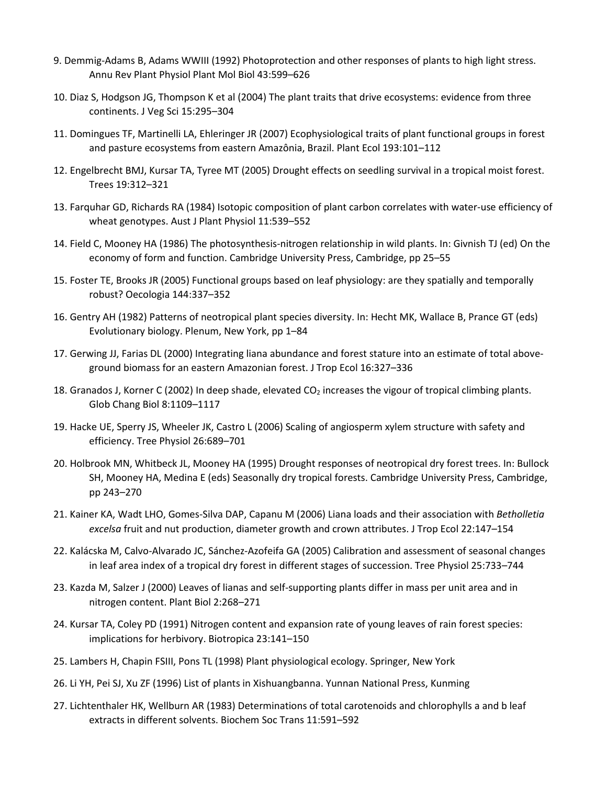- 9. Demmig-Adams B, Adams WWIII (1992) Photoprotection and other responses of plants to high light stress. Annu Rev Plant Physiol Plant Mol Biol 43:599–626
- 10. Diaz S, Hodgson JG, Thompson K et al (2004) The plant traits that drive ecosystems: evidence from three continents. J Veg Sci 15:295–304
- 11. Domingues TF, Martinelli LA, Ehleringer JR (2007) Ecophysiological traits of plant functional groups in forest and pasture ecosystems from eastern Amazônia, Brazil. Plant Ecol 193:101–112
- 12. Engelbrecht BMJ, Kursar TA, Tyree MT (2005) Drought effects on seedling survival in a tropical moist forest. Trees 19:312–321
- 13. Farquhar GD, Richards RA (1984) Isotopic composition of plant carbon correlates with water-use efficiency of wheat genotypes. Aust J Plant Physiol 11:539–552
- 14. Field C, Mooney HA (1986) The photosynthesis-nitrogen relationship in wild plants. In: Givnish TJ (ed) On the economy of form and function. Cambridge University Press, Cambridge, pp 25–55
- 15. Foster TE, Brooks JR (2005) Functional groups based on leaf physiology: are they spatially and temporally robust? Oecologia 144:337–352
- 16. Gentry AH (1982) Patterns of neotropical plant species diversity. In: Hecht MK, Wallace B, Prance GT (eds) Evolutionary biology. Plenum, New York, pp 1–84
- 17. Gerwing JJ, Farias DL (2000) Integrating liana abundance and forest stature into an estimate of total aboveground biomass for an eastern Amazonian forest. J Trop Ecol 16:327–336
- 18. Granados J, Korner C (2002) In deep shade, elevated CO<sub>2</sub> increases the vigour of tropical climbing plants. Glob Chang Biol 8:1109–1117
- 19. Hacke UE, Sperry JS, Wheeler JK, Castro L (2006) Scaling of angiosperm xylem structure with safety and efficiency. Tree Physiol 26:689–701
- 20. Holbrook MN, Whitbeck JL, Mooney HA (1995) Drought responses of neotropical dry forest trees. In: Bullock SH, Mooney HA, Medina E (eds) Seasonally dry tropical forests. Cambridge University Press, Cambridge, pp 243–270
- 21. Kainer KA, Wadt LHO, Gomes-Silva DAP, Capanu M (2006) Liana loads and their association with *Betholletia excelsa* fruit and nut production, diameter growth and crown attributes. J Trop Ecol 22:147–154
- 22. Kalácska M, Calvo-Alvarado JC, Sánchez-Azofeifa GA (2005) Calibration and assessment of seasonal changes in leaf area index of a tropical dry forest in different stages of succession. Tree Physiol 25:733–744
- 23. Kazda M, Salzer J (2000) Leaves of lianas and self-supporting plants differ in mass per unit area and in nitrogen content. Plant Biol 2:268–271
- 24. Kursar TA, Coley PD (1991) Nitrogen content and expansion rate of young leaves of rain forest species: implications for herbivory. Biotropica 23:141–150
- 25. Lambers H, Chapin FSIII, Pons TL (1998) Plant physiological ecology. Springer, New York
- 26. Li YH, Pei SJ, Xu ZF (1996) List of plants in Xishuangbanna. Yunnan National Press, Kunming
- 27. Lichtenthaler HK, Wellburn AR (1983) Determinations of total carotenoids and chlorophylls a and b leaf extracts in different solvents. Biochem Soc Trans 11:591–592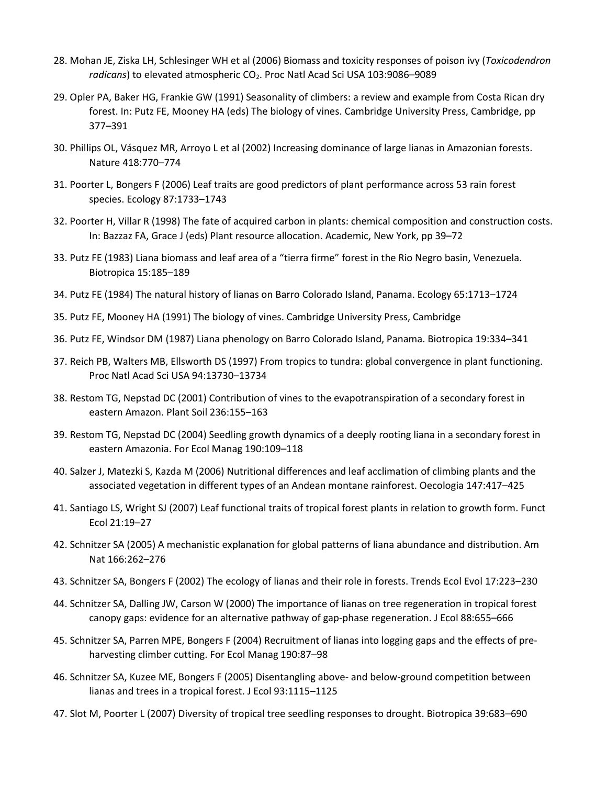- 28. Mohan JE, Ziska LH, Schlesinger WH et al (2006) Biomass and toxicity responses of poison ivy (*Toxicodendron*  radicans) to elevated atmospheric CO<sub>2</sub>. Proc Natl Acad Sci USA 103:9086-9089
- 29. Opler PA, Baker HG, Frankie GW (1991) Seasonality of climbers: a review and example from Costa Rican dry forest. In: Putz FE, Mooney HA (eds) The biology of vines. Cambridge University Press, Cambridge, pp 377–391
- 30. Phillips OL, Vásquez MR, Arroyo L et al (2002) Increasing dominance of large lianas in Amazonian forests. Nature 418:770–774
- 31. Poorter L, Bongers F (2006) Leaf traits are good predictors of plant performance across 53 rain forest species. Ecology 87:1733–1743
- 32. Poorter H, Villar R (1998) The fate of acquired carbon in plants: chemical composition and construction costs. In: Bazzaz FA, Grace J (eds) Plant resource allocation. Academic, New York, pp 39–72
- 33. Putz FE (1983) Liana biomass and leaf area of a "tierra firme" forest in the Rio Negro basin, Venezuela. Biotropica 15:185–189
- 34. Putz FE (1984) The natural history of lianas on Barro Colorado Island, Panama. Ecology 65:1713–1724
- 35. Putz FE, Mooney HA (1991) The biology of vines. Cambridge University Press, Cambridge
- 36. Putz FE, Windsor DM (1987) Liana phenology on Barro Colorado Island, Panama. Biotropica 19:334–341
- 37. Reich PB, Walters MB, Ellsworth DS (1997) From tropics to tundra: global convergence in plant functioning. Proc Natl Acad Sci USA 94:13730–13734
- 38. Restom TG, Nepstad DC (2001) Contribution of vines to the evapotranspiration of a secondary forest in eastern Amazon. Plant Soil 236:155–163
- 39. Restom TG, Nepstad DC (2004) Seedling growth dynamics of a deeply rooting liana in a secondary forest in eastern Amazonia. For Ecol Manag 190:109–118
- 40. Salzer J, Matezki S, Kazda M (2006) Nutritional differences and leaf acclimation of climbing plants and the associated vegetation in different types of an Andean montane rainforest. Oecologia 147:417–425
- 41. Santiago LS, Wright SJ (2007) Leaf functional traits of tropical forest plants in relation to growth form. Funct Ecol 21:19–27
- 42. Schnitzer SA (2005) A mechanistic explanation for global patterns of liana abundance and distribution. Am Nat 166:262–276
- 43. Schnitzer SA, Bongers F (2002) The ecology of lianas and their role in forests. Trends Ecol Evol 17:223–230
- 44. Schnitzer SA, Dalling JW, Carson W (2000) The importance of lianas on tree regeneration in tropical forest canopy gaps: evidence for an alternative pathway of gap-phase regeneration. J Ecol 88:655–666
- 45. Schnitzer SA, Parren MPE, Bongers F (2004) Recruitment of lianas into logging gaps and the effects of preharvesting climber cutting. For Ecol Manag 190:87–98
- 46. Schnitzer SA, Kuzee ME, Bongers F (2005) Disentangling above- and below-ground competition between lianas and trees in a tropical forest. J Ecol 93:1115–1125
- 47. Slot M, Poorter L (2007) Diversity of tropical tree seedling responses to drought. Biotropica 39:683–690